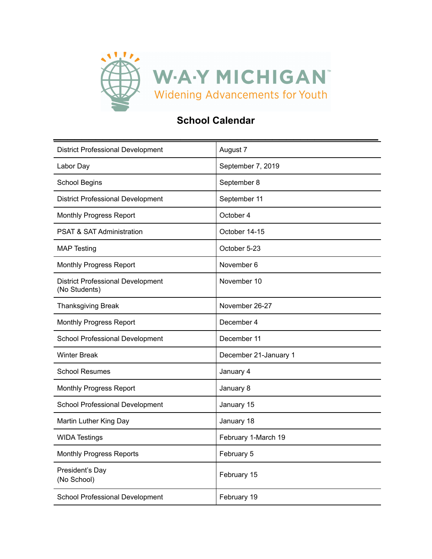

## **School Calendar**

| <b>District Professional Development</b>                  | August 7              |
|-----------------------------------------------------------|-----------------------|
| Labor Day                                                 | September 7, 2019     |
| <b>School Begins</b>                                      | September 8           |
| <b>District Professional Development</b>                  | September 11          |
| <b>Monthly Progress Report</b>                            | October 4             |
| <b>PSAT &amp; SAT Administration</b>                      | October 14-15         |
| <b>MAP Testing</b>                                        | October 5-23          |
| <b>Monthly Progress Report</b>                            | November 6            |
| <b>District Professional Development</b><br>(No Students) | November 10           |
| <b>Thanksgiving Break</b>                                 | November 26-27        |
| <b>Monthly Progress Report</b>                            | December 4            |
| School Professional Development                           | December 11           |
| <b>Winter Break</b>                                       | December 21-January 1 |
| <b>School Resumes</b>                                     | January 4             |
| <b>Monthly Progress Report</b>                            | January 8             |
| School Professional Development                           | January 15            |
| Martin Luther King Day                                    | January 18            |
| <b>WIDA Testings</b>                                      | February 1-March 19   |
| <b>Monthly Progress Reports</b>                           | February 5            |
| President's Day<br>(No School)                            | February 15           |
| School Professional Development                           | February 19           |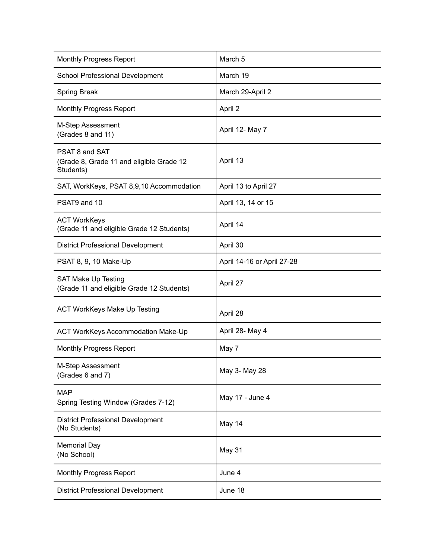| <b>Monthly Progress Report</b>                                          | March 5                    |
|-------------------------------------------------------------------------|----------------------------|
| School Professional Development                                         | March 19                   |
| <b>Spring Break</b>                                                     | March 29-April 2           |
| <b>Monthly Progress Report</b>                                          | April 2                    |
| M-Step Assessment<br>(Grades 8 and 11)                                  | April 12- May 7            |
| PSAT 8 and SAT<br>(Grade 8, Grade 11 and eligible Grade 12<br>Students) | April 13                   |
| SAT, WorkKeys, PSAT 8,9,10 Accommodation                                | April 13 to April 27       |
| PSAT9 and 10                                                            | April 13, 14 or 15         |
| <b>ACT WorkKeys</b><br>(Grade 11 and eligible Grade 12 Students)        | April 14                   |
| <b>District Professional Development</b>                                | April 30                   |
| PSAT 8, 9, 10 Make-Up                                                   | April 14-16 or April 27-28 |
| SAT Make Up Testing<br>(Grade 11 and eligible Grade 12 Students)        | April 27                   |
| <b>ACT WorkKeys Make Up Testing</b>                                     | April 28                   |
| ACT WorkKeys Accommodation Make-Up                                      | April 28- May 4            |
| <b>Monthly Progress Report</b>                                          | May 7                      |
| M-Step Assessment<br>(Grades 6 and 7)                                   | May 3- May 28              |
| <b>MAP</b><br>Spring Testing Window (Grades 7-12)                       | May 17 - June 4            |
| <b>District Professional Development</b><br>(No Students)               | May 14                     |
| <b>Memorial Day</b><br>(No School)                                      | May 31                     |
| <b>Monthly Progress Report</b>                                          | June 4                     |
| <b>District Professional Development</b>                                | June 18                    |